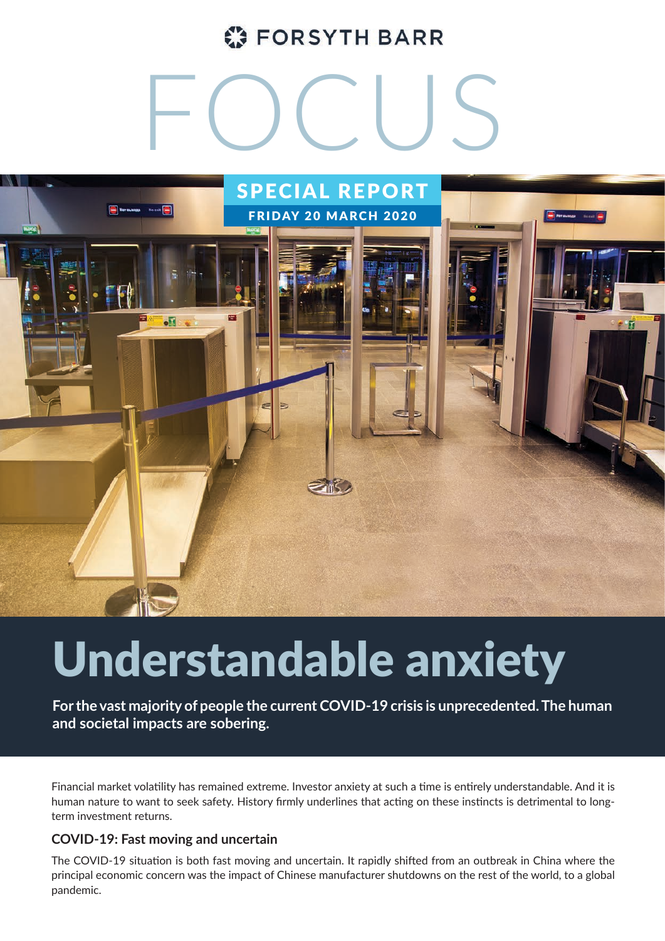### **C** FORSYTH BARR

# FOCUS



## Understandable anxiety

**For the vast majority of people the current COVID-19 crisis is unprecedented. The human and societal impacts are sobering.** 

Financial market volatility has remained extreme. Investor anxiety at such a time is entirely understandable. And it is human nature to want to seek safety. History firmly underlines that acting on these instincts is detrimental to longterm investment returns.

#### **COVID-19: Fast moving and uncertain**

The COVID-19 situation is both fast moving and uncertain. It rapidly shifted from an outbreak in China where the principal economic concern was the impact of Chinese manufacturer shutdowns on the rest of the world, to a global pandemic.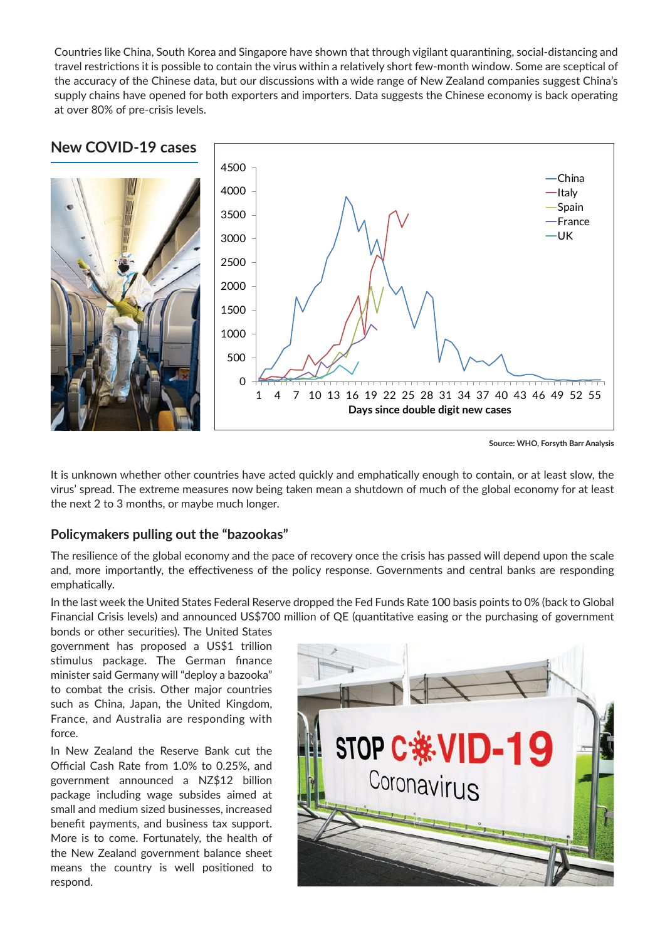Countries like China, South Korea and Singapore have shown that through vigilant quarantining, social-distancing and travel restrictions it is possible to contain the virus within a relatively short few-month window. Some are sceptical of the accuracy of the Chinese data, but our discussions with a wide range of New Zealand companies suggest China's supply chains have opened for both exporters and importers. Data suggests the Chinese economy is back operating at over 80% of pre-crisis levels.



**Source: WHO, Forsyth Barr Analysis**

It is unknown whether other countries have acted quickly and emphatically enough to contain, or at least slow, the virus' spread. The extreme measures now being taken mean a shutdown of much of the global economy for at least the next 2 to 3 months, or maybe much longer.

#### **Policymakers pulling out the "bazookas"**

The resilience of the global economy and the pace of recovery once the crisis has passed will depend upon the scale and, more importantly, the effectiveness of the policy response. Governments and central banks are responding emphatically.

In the last week the United States Federal Reserve dropped the Fed Funds Rate 100 basis points to 0% (back to Global Financial Crisis levels) and announced US\$700 million of QE (quantitative easing or the purchasing of government

bonds or other securities). The United States government has proposed a US\$1 trillion stimulus package. The German finance minister said Germany will "deploy a bazooka" to combat the crisis. Other major countries such as China, Japan, the United Kingdom, France, and Australia are responding with force.

In New Zealand the Reserve Bank cut the Official Cash Rate from 1.0% to 0.25%, and government announced a NZ\$12 billion package including wage subsides aimed at small and medium sized businesses, increased benefit payments, and business tax support. More is to come. Fortunately, the health of the New Zealand government balance sheet means the country is well positioned to respond.